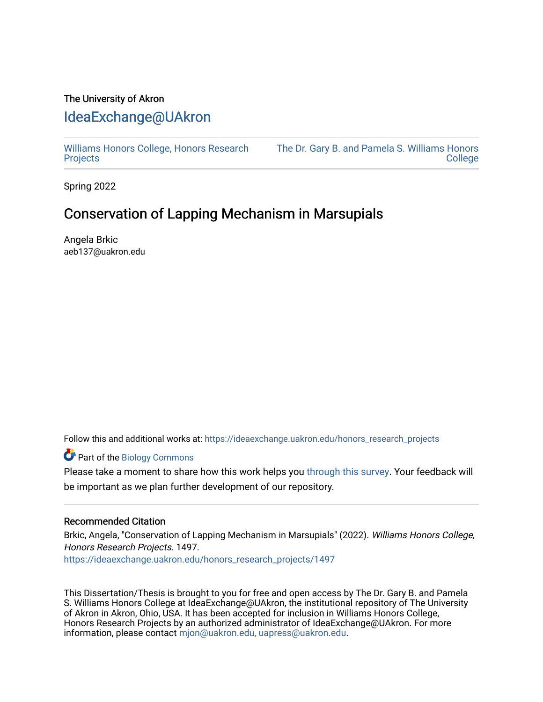## The University of Akron [IdeaExchange@UAkron](https://ideaexchange.uakron.edu/)

[Williams Honors College, Honors Research](https://ideaexchange.uakron.edu/honors_research_projects)  **[Projects](https://ideaexchange.uakron.edu/honors_research_projects)** 

[The Dr. Gary B. and Pamela S. Williams Honors](https://ideaexchange.uakron.edu/honorscollege_ideas)  [College](https://ideaexchange.uakron.edu/honorscollege_ideas) 

Spring 2022

# Conservation of Lapping Mechanism in Marsupials

Angela Brkic aeb137@uakron.edu

Follow this and additional works at: [https://ideaexchange.uakron.edu/honors\\_research\\_projects](https://ideaexchange.uakron.edu/honors_research_projects?utm_source=ideaexchange.uakron.edu%2Fhonors_research_projects%2F1497&utm_medium=PDF&utm_campaign=PDFCoverPages) 

Part of the [Biology Commons](http://network.bepress.com/hgg/discipline/41?utm_source=ideaexchange.uakron.edu%2Fhonors_research_projects%2F1497&utm_medium=PDF&utm_campaign=PDFCoverPages) 

Please take a moment to share how this work helps you [through this survey](http://survey.az1.qualtrics.com/SE/?SID=SV_eEVH54oiCbOw05f&URL=https://ideaexchange.uakron.edu/honors_research_projects/1497). Your feedback will be important as we plan further development of our repository.

#### Recommended Citation

Brkic, Angela, "Conservation of Lapping Mechanism in Marsupials" (2022). Williams Honors College, Honors Research Projects. 1497.

[https://ideaexchange.uakron.edu/honors\\_research\\_projects/1497](https://ideaexchange.uakron.edu/honors_research_projects/1497?utm_source=ideaexchange.uakron.edu%2Fhonors_research_projects%2F1497&utm_medium=PDF&utm_campaign=PDFCoverPages) 

This Dissertation/Thesis is brought to you for free and open access by The Dr. Gary B. and Pamela S. Williams Honors College at IdeaExchange@UAkron, the institutional repository of The University of Akron in Akron, Ohio, USA. It has been accepted for inclusion in Williams Honors College, Honors Research Projects by an authorized administrator of IdeaExchange@UAkron. For more information, please contact [mjon@uakron.edu, uapress@uakron.edu.](mailto:mjon@uakron.edu,%20uapress@uakron.edu)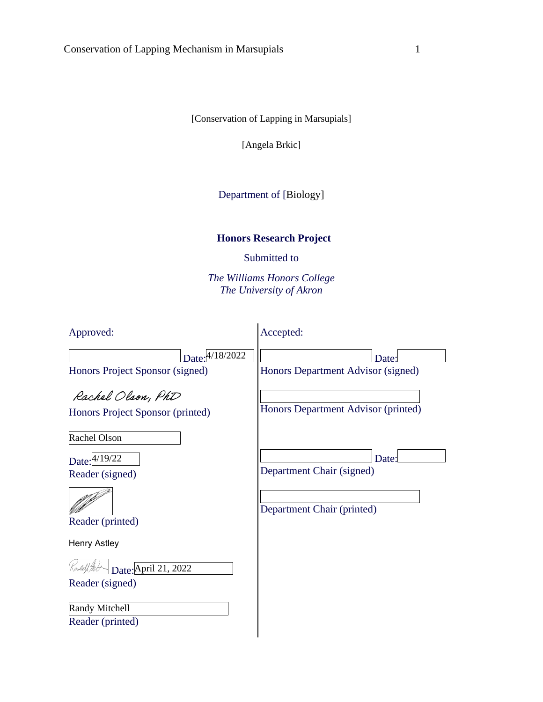[Conservation of Lapping in Marsupials]

[Angela Brkic]

Department of [Biology]

## **Honors Research Project**

Submitted to

*The Williams Honors College The University of Akron*

| Approved:                                                                                            | Accepted:                                                        |
|------------------------------------------------------------------------------------------------------|------------------------------------------------------------------|
| Date: 4/18/2022<br>Honors Project Sponsor (signed)                                                   | Date:<br>Honors Department Advisor (signed)                      |
| Rachel Olson, PhD<br>Honors Project Sponsor (printed)                                                | Honors Department Advisor (printed)                              |
| Rachel Olson<br>Date: 4/19/22<br>Reader (signed)<br>Reader (printed)                                 | Date:<br>Department Chair (signed)<br>Department Chair (printed) |
| <b>Henry Astley</b><br>Date: April 21, 2022<br>Reader (signed)<br>Randy Mitchell<br>Reader (printed) |                                                                  |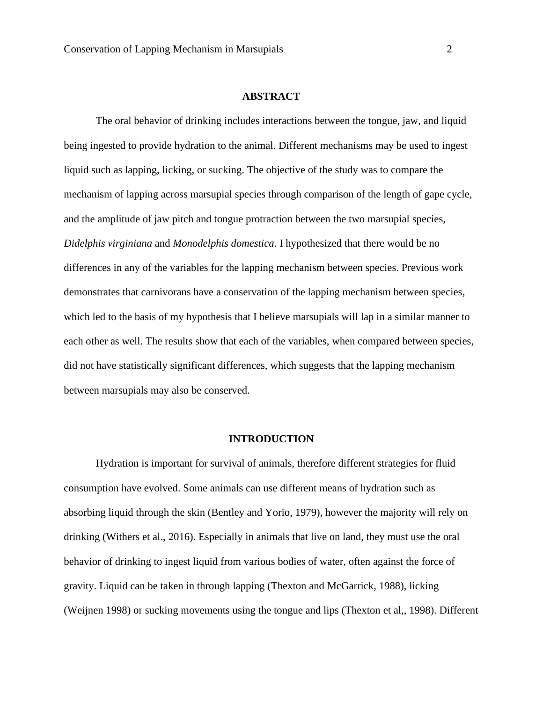#### **ABSTRACT**

The oral behavior of drinking includes interactions between the tongue, jaw, and liquid being ingested to provide hydration to the animal. Different mechanisms may be used to ingest liquid such as lapping, licking, or sucking. The objective of the study was to compare the mechanism of lapping across marsupial species through comparison of the length of gape cycle, and the amplitude of jaw pitch and tongue protraction between the two marsupial species, *Didelphis virginiana* and *Monodelphis domestica*. I hypothesized that there would be no differences in any of the variables for the lapping mechanism between species. Previous work demonstrates that carnivorans have a conservation of the lapping mechanism between species, which led to the basis of my hypothesis that I believe marsupials will lap in a similar manner to each other as well. The results show that each of the variables, when compared between species, did not have statistically significant differences, which suggests that the lapping mechanism between marsupials may also be conserved.

#### **INTRODUCTION**

Hydration is important for survival of animals, therefore different strategies for fluid consumption have evolved. Some animals can use different means of hydration such as absorbing liquid through the skin (Bentley and Yorio, 1979), however the majority will rely on drinking (Withers et al., 2016). Especially in animals that live on land, they must use the oral behavior of drinking to ingest liquid from various bodies of water, often against the force of gravity. Liquid can be taken in through lapping (Thexton and McGarrick, 1988), licking (Weijnen 1998) or sucking movements using the tongue and lips (Thexton et al,, 1998). Different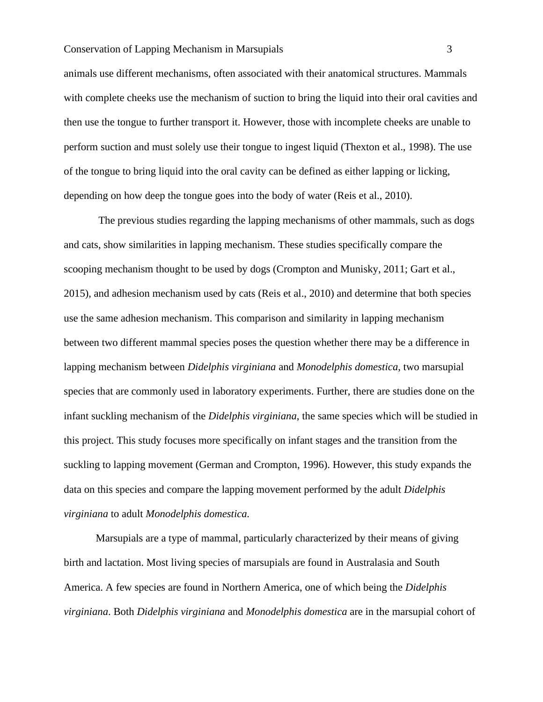#### Conservation of Lapping Mechanism in Marsupials 3

animals use different mechanisms, often associated with their anatomical structures. Mammals with complete cheeks use the mechanism of suction to bring the liquid into their oral cavities and then use the tongue to further transport it. However, those with incomplete cheeks are unable to perform suction and must solely use their tongue to ingest liquid (Thexton et al., 1998). The use of the tongue to bring liquid into the oral cavity can be defined as either lapping or licking, depending on how deep the tongue goes into the body of water (Reis et al., 2010).

The previous studies regarding the lapping mechanisms of other mammals, such as dogs and cats, show similarities in lapping mechanism. These studies specifically compare the scooping mechanism thought to be used by dogs (Crompton and Munisky, 2011; Gart et al., 2015), and adhesion mechanism used by cats (Reis et al., 2010) and determine that both species use the same adhesion mechanism. This comparison and similarity in lapping mechanism between two different mammal species poses the question whether there may be a difference in lapping mechanism between *Didelphis virginiana* and *Monodelphis domestica*, two marsupial species that are commonly used in laboratory experiments. Further, there are studies done on the infant suckling mechanism of the *Didelphis virginiana*, the same species which will be studied in this project. This study focuses more specifically on infant stages and the transition from the suckling to lapping movement (German and Crompton, 1996). However, this study expands the data on this species and compare the lapping movement performed by the adult *Didelphis virginiana* to adult *Monodelphis domestica.* 

Marsupials are a type of mammal, particularly characterized by their means of giving birth and lactation. Most living species of marsupials are found in Australasia and South America. A few species are found in Northern America, one of which being the *Didelphis virginiana*. Both *Didelphis virginiana* and *Monodelphis domestica* are in the marsupial cohort of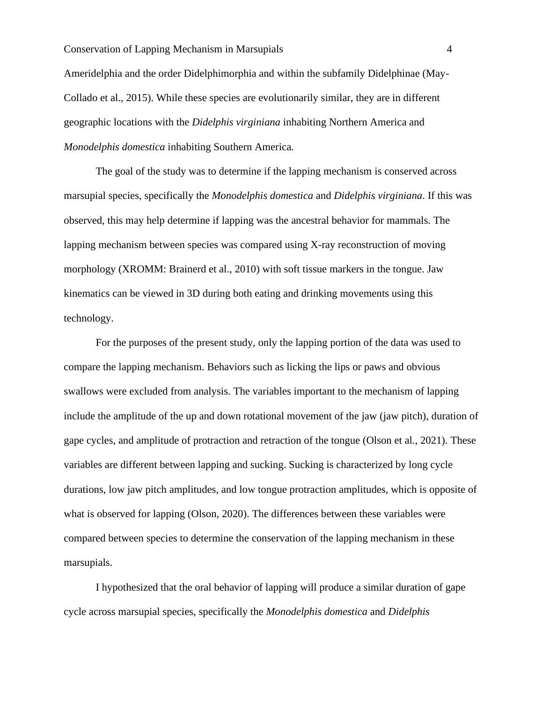Ameridelphia and the order Didelphimorphia and within the subfamily Didelphinae (May-Collado et al., 2015). While these species are evolutionarily similar, they are in different geographic locations with the *Didelphis virginiana* inhabiting Northern America and *Monodelphis domestica* inhabiting Southern America.

The goal of the study was to determine if the lapping mechanism is conserved across marsupial species, specifically the *Monodelphis domestica* and *Didelphis virginiana*. If this was observed, this may help determine if lapping was the ancestral behavior for mammals. The lapping mechanism between species was compared using X-ray reconstruction of moving morphology (XROMM: Brainerd et al., 2010) with soft tissue markers in the tongue. Jaw kinematics can be viewed in 3D during both eating and drinking movements using this technology.

For the purposes of the present study, only the lapping portion of the data was used to compare the lapping mechanism. Behaviors such as licking the lips or paws and obvious swallows were excluded from analysis. The variables important to the mechanism of lapping include the amplitude of the up and down rotational movement of the jaw (jaw pitch), duration of gape cycles, and amplitude of protraction and retraction of the tongue (Olson et al., 2021). These variables are different between lapping and sucking. Sucking is characterized by long cycle durations, low jaw pitch amplitudes, and low tongue protraction amplitudes, which is opposite of what is observed for lapping (Olson, 2020). The differences between these variables were compared between species to determine the conservation of the lapping mechanism in these marsupials.

I hypothesized that the oral behavior of lapping will produce a similar duration of gape cycle across marsupial species, specifically the *Monodelphis domestica* and *Didelphis*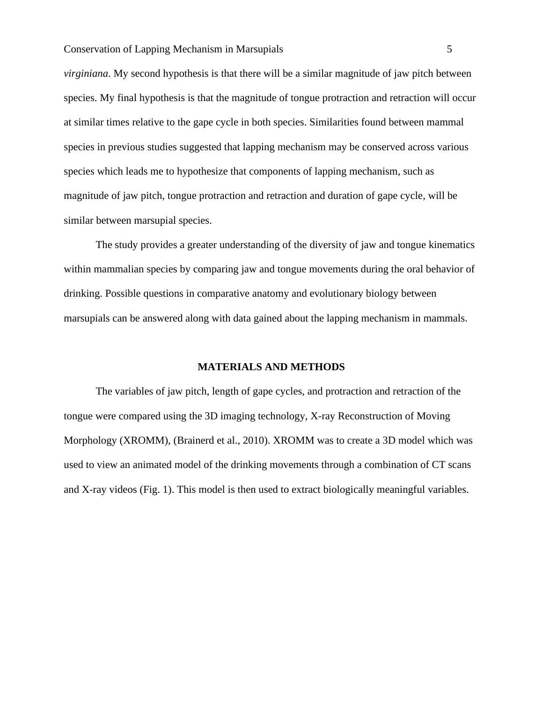*virginiana*. My second hypothesis is that there will be a similar magnitude of jaw pitch between species. My final hypothesis is that the magnitude of tongue protraction and retraction will occur at similar times relative to the gape cycle in both species. Similarities found between mammal species in previous studies suggested that lapping mechanism may be conserved across various species which leads me to hypothesize that components of lapping mechanism, such as magnitude of jaw pitch, tongue protraction and retraction and duration of gape cycle, will be similar between marsupial species.

The study provides a greater understanding of the diversity of jaw and tongue kinematics within mammalian species by comparing jaw and tongue movements during the oral behavior of drinking. Possible questions in comparative anatomy and evolutionary biology between marsupials can be answered along with data gained about the lapping mechanism in mammals.

### **MATERIALS AND METHODS**

The variables of jaw pitch, length of gape cycles, and protraction and retraction of the tongue were compared using the 3D imaging technology, X-ray Reconstruction of Moving Morphology (XROMM), (Brainerd et al., 2010). XROMM was to create a 3D model which was used to view an animated model of the drinking movements through a combination of CT scans and X-ray videos (Fig. 1). This model is then used to extract biologically meaningful variables.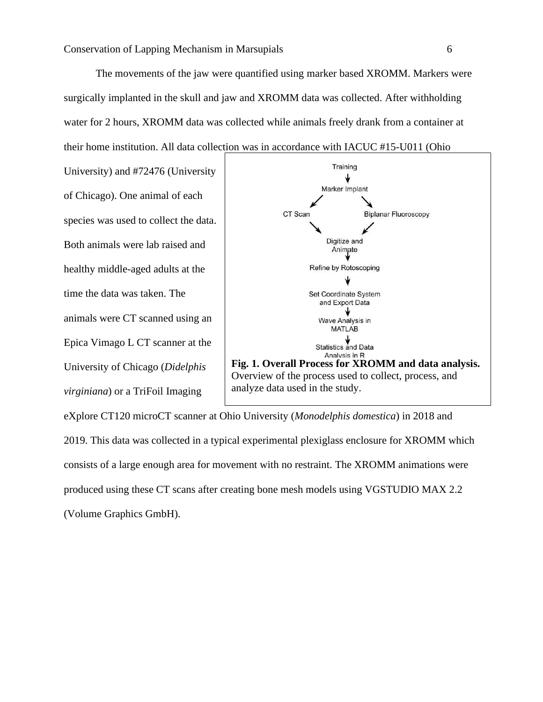The movements of the jaw were quantified using marker based XROMM. Markers were surgically implanted in the skull and jaw and XROMM data was collected. After withholding water for 2 hours, XROMM data was collected while animals freely drank from a container at their home institution. All data collection was in accordance with IACUC #15-U011 (Ohio

University) and #72476 (University of Chicago). One animal of each species was used to collect the data. Both animals were lab raised and healthy middle-aged adults at the time the data was taken. The animals were CT scanned using an Epica Vimago L CT scanner at the University of Chicago (*Didelphis virginiana*) or a TriFoil Imaging



eXplore CT120 microCT scanner at Ohio University (*Monodelphis domestica*) in 2018 and 2019. This data was collected in a typical experimental plexiglass enclosure for XROMM which consists of a large enough area for movement with no restraint. The XROMM animations were produced using these CT scans after creating bone mesh models using VGSTUDIO MAX 2.2 (Volume Graphics GmbH).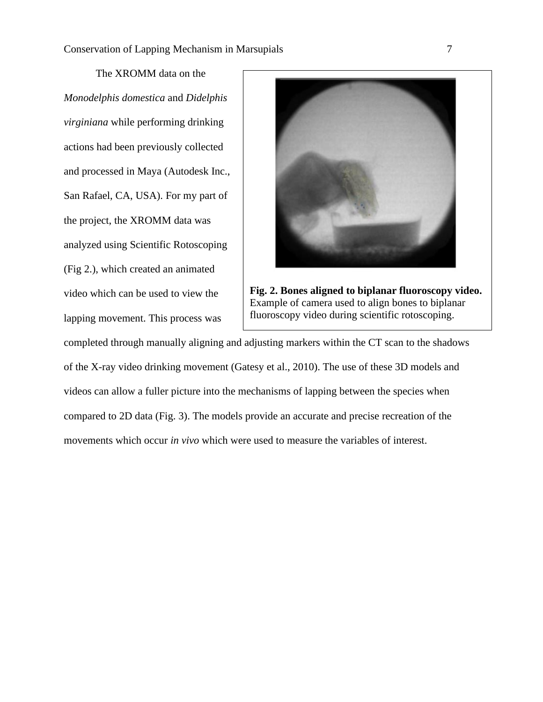The XROMM data on the *Monodelphis domestica* and *Didelphis virginiana* while performing drinking actions had been previously collected and processed in Maya (Autodesk Inc., San Rafael, CA, USA). For my part of the project, the XROMM data was analyzed using Scientific Rotoscoping (Fig 2.), which created an animated video which can be used to view the lapping movement. This process was





completed through manually aligning and adjusting markers within the CT scan to the shadows of the X-ray video drinking movement (Gatesy et al., 2010). The use of these 3D models and videos can allow a fuller picture into the mechanisms of lapping between the species when compared to 2D data (Fig. 3). The models provide an accurate and precise recreation of the movements which occur *in vivo* which were used to measure the variables of interest.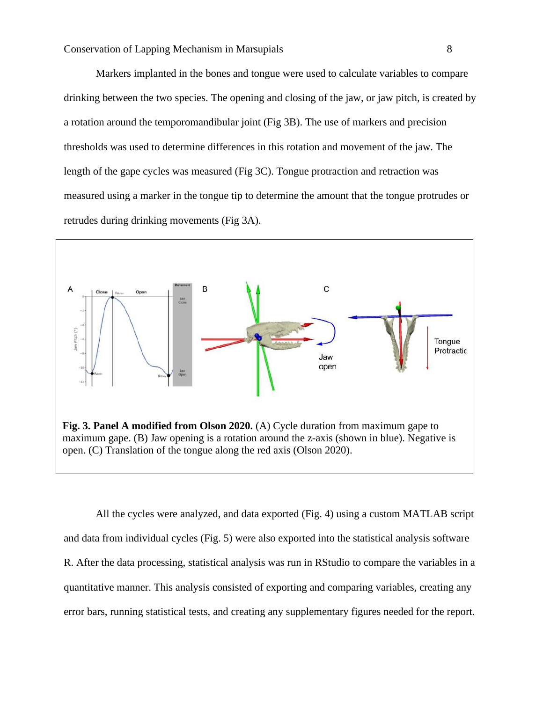Markers implanted in the bones and tongue were used to calculate variables to compare drinking between the two species. The opening and closing of the jaw, or jaw pitch, is created by a rotation around the temporomandibular joint (Fig 3B). The use of markers and precision thresholds was used to determine differences in this rotation and movement of the jaw. The length of the gape cycles was measured (Fig 3C). Tongue protraction and retraction was measured using a marker in the tongue tip to determine the amount that the tongue protrudes or retrudes during drinking movements (Fig 3A).



All the cycles were analyzed, and data exported (Fig. 4) using a custom MATLAB script and data from individual cycles (Fig. 5) were also exported into the statistical analysis software R. After the data processing, statistical analysis was run in RStudio to compare the variables in a quantitative manner. This analysis consisted of exporting and comparing variables, creating any error bars, running statistical tests, and creating any supplementary figures needed for the report.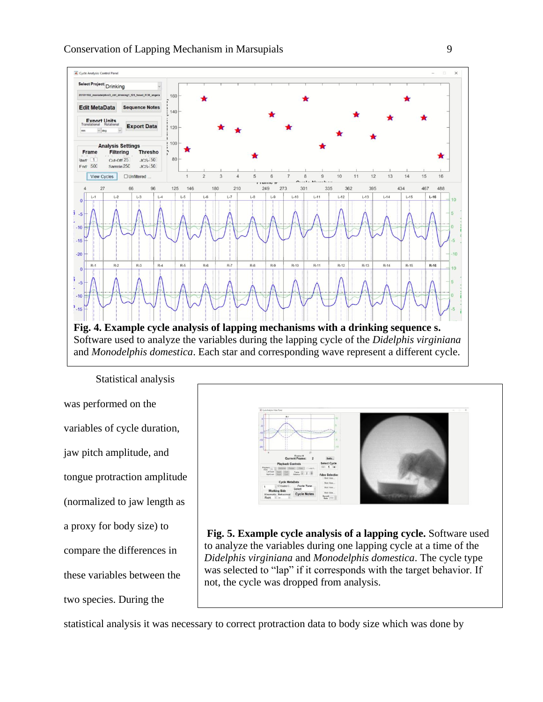

Statistical analysis was performed on the variables of cycle duration, jaw pitch amplitude, and tongue protraction amplitude (normalized to jaw length as a proxy for body size) to compare the differences in these variables between the two species. During the



**Fig. 5. Example cycle analysis of a lapping cycle.** Software used to analyze the variables during one lapping cycle at a time of the *Didelphis virginiana* and *Monodelphis domestica*. The cycle type was selected to "lap" if it corresponds with the target behavior. If not, the cycle was dropped from analysis.

statistical analysis it was necessary to correct protraction data to body size which was done by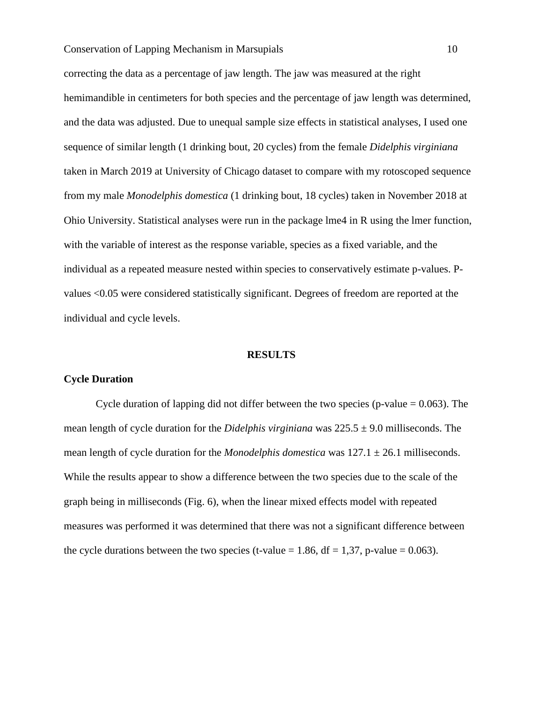correcting the data as a percentage of jaw length. The jaw was measured at the right hemimandible in centimeters for both species and the percentage of jaw length was determined, and the data was adjusted. Due to unequal sample size effects in statistical analyses, I used one sequence of similar length (1 drinking bout, 20 cycles) from the female *Didelphis virginiana* taken in March 2019 at University of Chicago dataset to compare with my rotoscoped sequence from my male *Monodelphis domestica* (1 drinking bout, 18 cycles) taken in November 2018 at Ohio University. Statistical analyses were run in the package lme4 in R using the lmer function, with the variable of interest as the response variable, species as a fixed variable, and the individual as a repeated measure nested within species to conservatively estimate p-values. Pvalues <0.05 were considered statistically significant. Degrees of freedom are reported at the individual and cycle levels.

#### **RESULTS**

#### **Cycle Duration**

Cycle duration of lapping did not differ between the two species (p-value  $= 0.063$ ). The mean length of cycle duration for the *Didelphis virginiana* was 225.5 ± 9.0 milliseconds. The mean length of cycle duration for the *Monodelphis domestica* was  $127.1 \pm 26.1$  milliseconds. While the results appear to show a difference between the two species due to the scale of the graph being in milliseconds (Fig. 6), when the linear mixed effects model with repeated measures was performed it was determined that there was not a significant difference between the cycle durations between the two species (t-value = 1.86,  $df = 1.37$ , p-value = 0.063).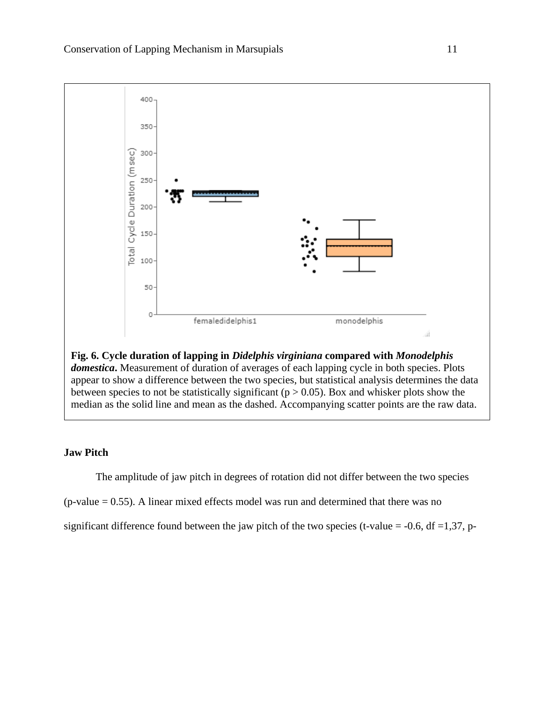

appear to show a difference between the two species, but statistical analysis determines the data between species to not be statistically significant ( $p > 0.05$ ). Box and whisker plots show the median as the solid line and mean as the dashed. Accompanying scatter points are the raw data.

## **Jaw Pitch**

The amplitude of jaw pitch in degrees of rotation did not differ between the two species

 $(p-value = 0.55)$ . A linear mixed effects model was run and determined that there was no

significant difference found between the jaw pitch of the two species (t-value =  $-0.6$ , df =1,37, p-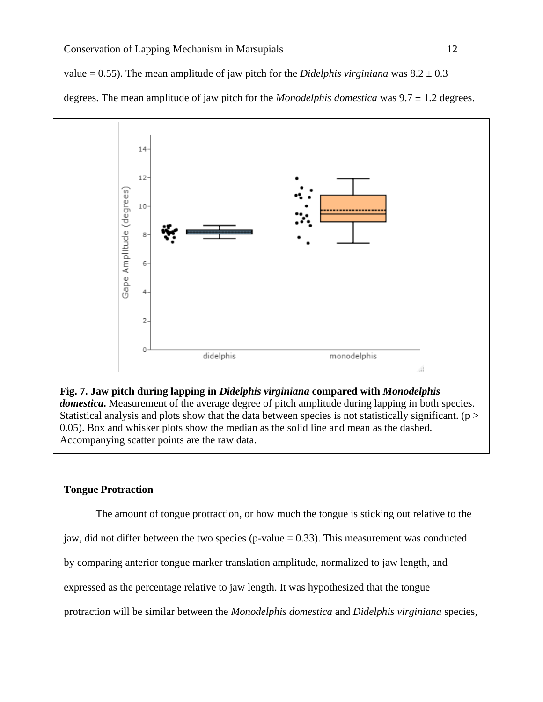value  $= 0.55$ ). The mean amplitude of jaw pitch for the *Didelphis virginiana* was  $8.2 \pm 0.3$ 

degrees. The mean amplitude of jaw pitch for the *Monodelphis domestica* was  $9.7 \pm 1.2$  degrees.



## **Tongue Protraction**

The amount of tongue protraction, or how much the tongue is sticking out relative to the jaw, did not differ between the two species (p-value  $= 0.33$ ). This measurement was conducted by comparing anterior tongue marker translation amplitude, normalized to jaw length, and expressed as the percentage relative to jaw length. It was hypothesized that the tongue protraction will be similar between the *Monodelphis domestica* and *Didelphis virginiana* species,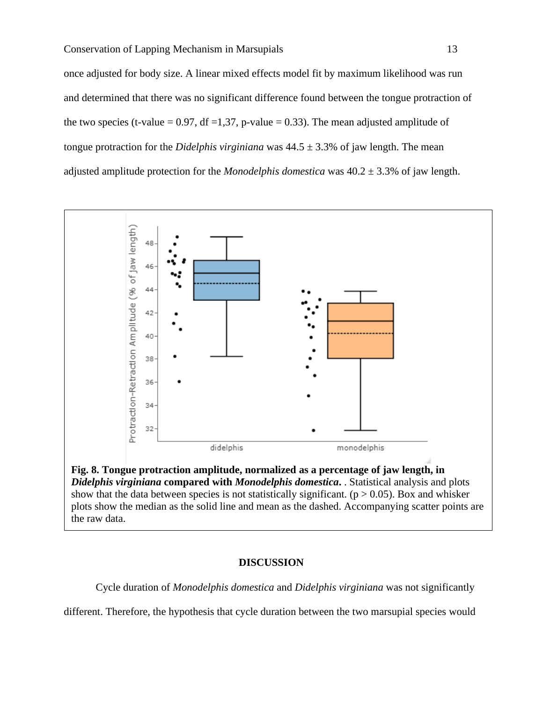once adjusted for body size. A linear mixed effects model fit by maximum likelihood was run and determined that there was no significant difference found between the tongue protraction of the two species (t-value = 0.97, df = 1,37, p-value = 0.33). The mean adjusted amplitude of tongue protraction for the *Didelphis virginiana* was 44.5 ± 3.3% of jaw length. The mean adjusted amplitude protection for the *Monodelphis domestica* was 40.2 ± 3.3% of jaw length.



#### **DISCUSSION**

Cycle duration of *Monodelphis domestica* and *Didelphis virginiana* was not significantly

different. Therefore, the hypothesis that cycle duration between the two marsupial species would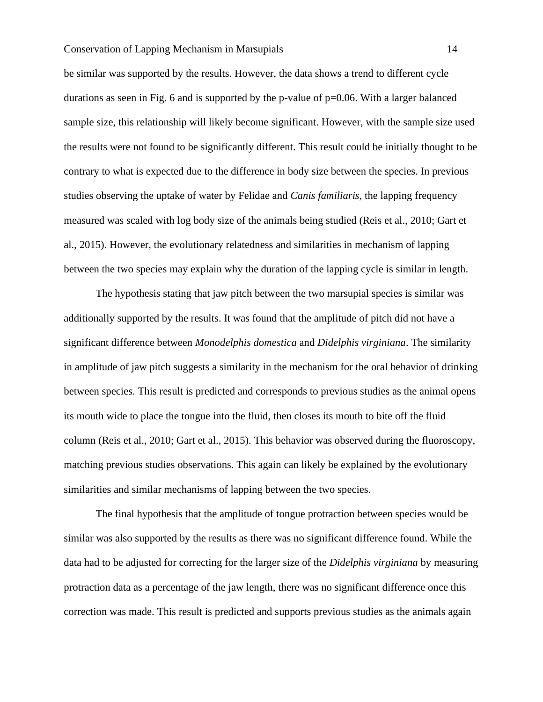be similar was supported by the results. However, the data shows a trend to different cycle durations as seen in Fig. 6 and is supported by the p-value of  $p=0.06$ . With a larger balanced sample size, this relationship will likely become significant. However, with the sample size used the results were not found to be significantly different. This result could be initially thought to be contrary to what is expected due to the difference in body size between the species. In previous studies observing the uptake of water by Felidae and *Canis familiaris,* the lapping frequency measured was scaled with log body size of the animals being studied (Reis et al., 2010; Gart et al., 2015). However, the evolutionary relatedness and similarities in mechanism of lapping between the two species may explain why the duration of the lapping cycle is similar in length.

The hypothesis stating that jaw pitch between the two marsupial species is similar was additionally supported by the results. It was found that the amplitude of pitch did not have a significant difference between *Monodelphis domestica* and *Didelphis virginiana*. The similarity in amplitude of jaw pitch suggests a similarity in the mechanism for the oral behavior of drinking between species. This result is predicted and corresponds to previous studies as the animal opens its mouth wide to place the tongue into the fluid, then closes its mouth to bite off the fluid column (Reis et al., 2010; Gart et al., 2015). This behavior was observed during the fluoroscopy, matching previous studies observations. This again can likely be explained by the evolutionary similarities and similar mechanisms of lapping between the two species.

The final hypothesis that the amplitude of tongue protraction between species would be similar was also supported by the results as there was no significant difference found. While the data had to be adjusted for correcting for the larger size of the *Didelphis virginiana* by measuring protraction data as a percentage of the jaw length, there was no significant difference once this correction was made. This result is predicted and supports previous studies as the animals again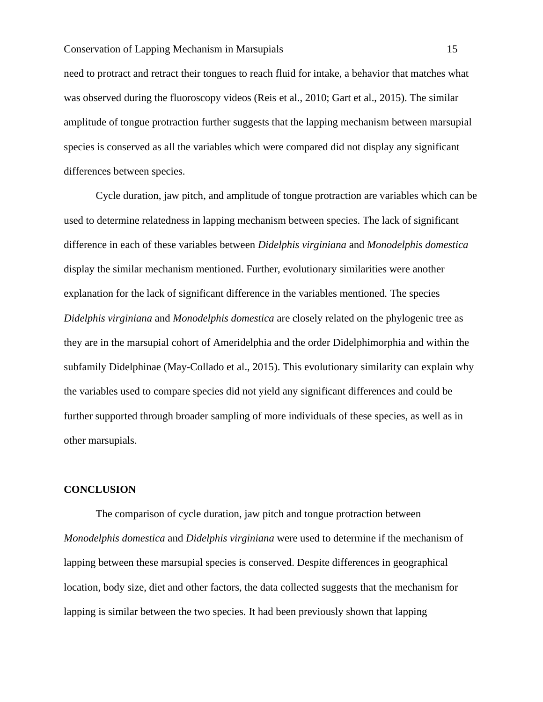need to protract and retract their tongues to reach fluid for intake, a behavior that matches what was observed during the fluoroscopy videos (Reis et al., 2010; Gart et al., 2015). The similar amplitude of tongue protraction further suggests that the lapping mechanism between marsupial species is conserved as all the variables which were compared did not display any significant differences between species.

Cycle duration, jaw pitch, and amplitude of tongue protraction are variables which can be used to determine relatedness in lapping mechanism between species. The lack of significant difference in each of these variables between *Didelphis virginiana* and *Monodelphis domestica*  display the similar mechanism mentioned. Further, evolutionary similarities were another explanation for the lack of significant difference in the variables mentioned. The species *Didelphis virginiana* and *Monodelphis domestica* are closely related on the phylogenic tree as they are in the marsupial cohort of Ameridelphia and the order Didelphimorphia and within the subfamily Didelphinae (May-Collado et al., 2015). This evolutionary similarity can explain why the variables used to compare species did not yield any significant differences and could be further supported through broader sampling of more individuals of these species, as well as in other marsupials.

### **CONCLUSION**

The comparison of cycle duration, jaw pitch and tongue protraction between *Monodelphis domestica* and *Didelphis virginiana* were used to determine if the mechanism of lapping between these marsupial species is conserved. Despite differences in geographical location, body size, diet and other factors, the data collected suggests that the mechanism for lapping is similar between the two species. It had been previously shown that lapping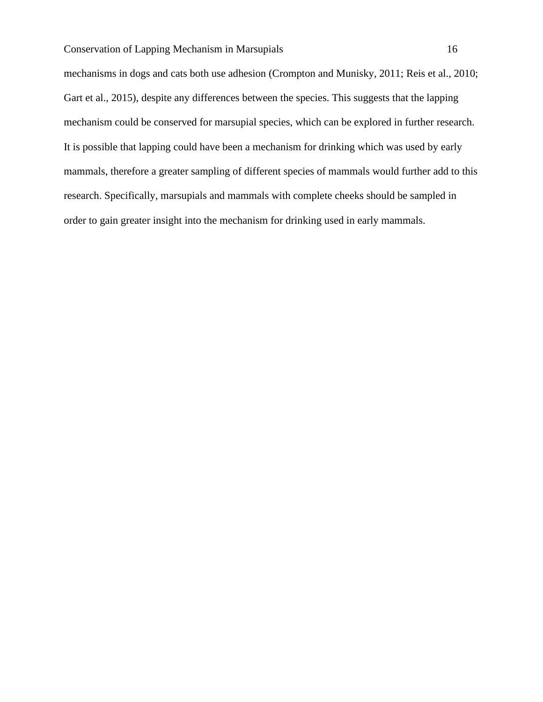mechanisms in dogs and cats both use adhesion (Crompton and Munisky, 2011; Reis et al., 2010; Gart et al., 2015), despite any differences between the species. This suggests that the lapping mechanism could be conserved for marsupial species, which can be explored in further research. It is possible that lapping could have been a mechanism for drinking which was used by early mammals, therefore a greater sampling of different species of mammals would further add to this research. Specifically, marsupials and mammals with complete cheeks should be sampled in order to gain greater insight into the mechanism for drinking used in early mammals.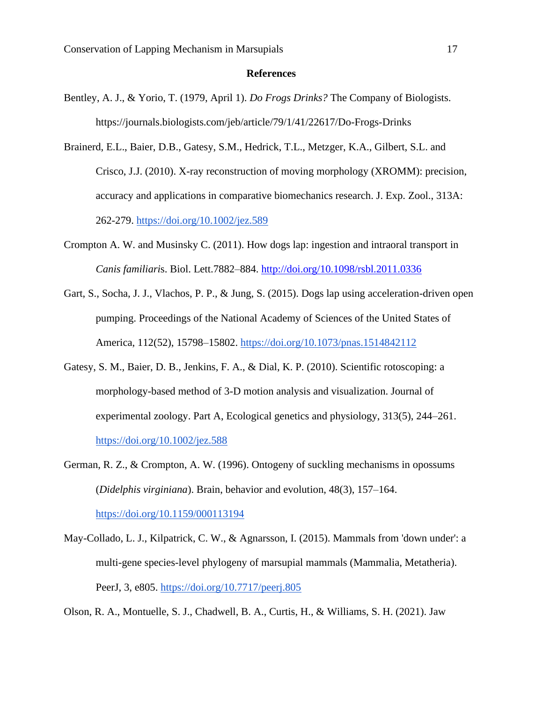#### **References**

- Bentley, A. J., & Yorio, T. (1979, April 1). *Do Frogs Drinks?* The Company of Biologists. https://journals.biologists.com/jeb/article/79/1/41/22617/Do-Frogs-Drinks
- Brainerd, E.L., Baier, D.B., Gatesy, S.M., Hedrick, T.L., Metzger, K.A., Gilbert, S.L. and Crisco, J.J. (2010). X-ray reconstruction of moving morphology (XROMM): precision, accuracy and applications in comparative biomechanics research. J. Exp. Zool., 313A: 262-279.<https://doi.org/10.1002/jez.589>
- Crompton A. W. and Musinsky C. (2011). How dogs lap: ingestion and intraoral transport in *Canis familiari*s. Biol. Lett.7882–884.<http://doi.org/10.1098/rsbl.2011.0336>
- Gart, S., Socha, J. J., Vlachos, P. P., & Jung, S. (2015). Dogs lap using acceleration-driven open pumping. Proceedings of the National Academy of Sciences of the United States of America, 112(52), 15798–15802.<https://doi.org/10.1073/pnas.1514842112>
- Gatesy, S. M., Baier, D. B., Jenkins, F. A., & Dial, K. P. (2010). Scientific rotoscoping: a morphology-based method of 3-D motion analysis and visualization. Journal of experimental zoology. Part A, Ecological genetics and physiology, 313(5), 244–261. <https://doi.org/10.1002/jez.588>
- German, R. Z., & Crompton, A. W. (1996). Ontogeny of suckling mechanisms in opossums (*Didelphis virginiana*). Brain, behavior and evolution, 48(3), 157–164. <https://doi.org/10.1159/000113194>
- May-Collado, L. J., Kilpatrick, C. W., & Agnarsson, I. (2015). Mammals from 'down under': a multi-gene species-level phylogeny of marsupial mammals (Mammalia, Metatheria). PeerJ, 3, e805.<https://doi.org/10.7717/peerj.805>

Olson, R. A., Montuelle, S. J., Chadwell, B. A., Curtis, H., & Williams, S. H. (2021). Jaw